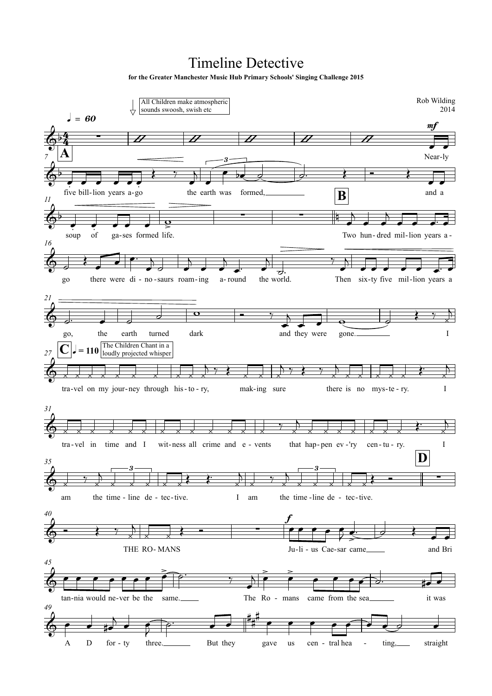## **Timeline Detective**

for the Greater Manchester Music Hub Primary Schools' Singing Challenge 2015

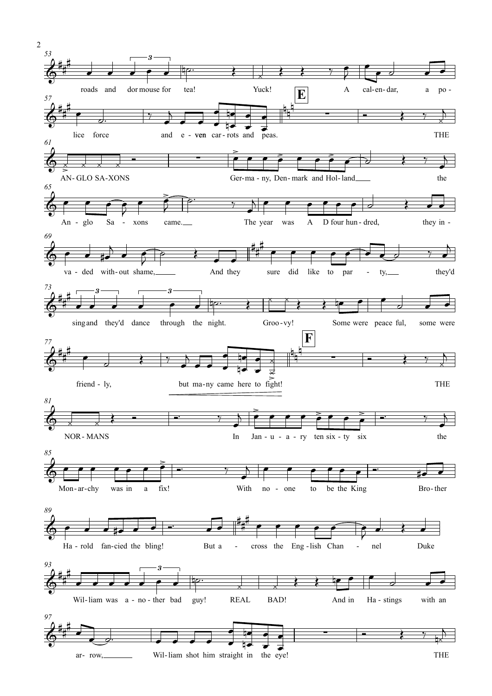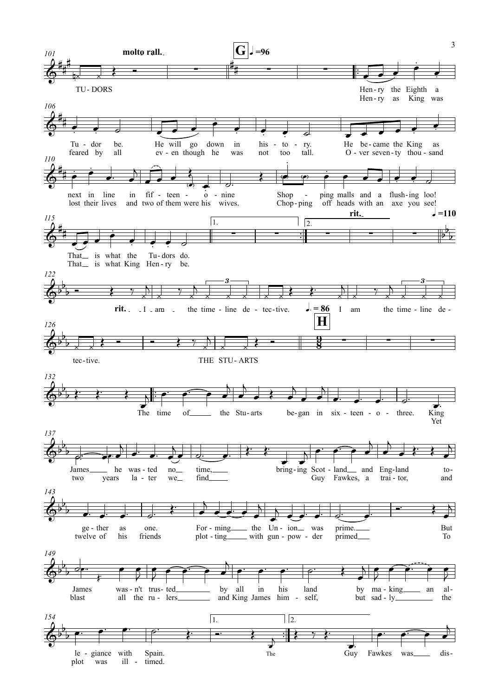

 $\overline{3}$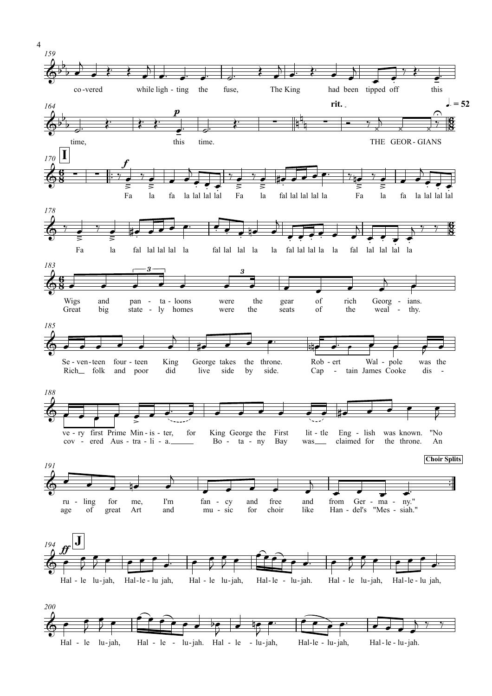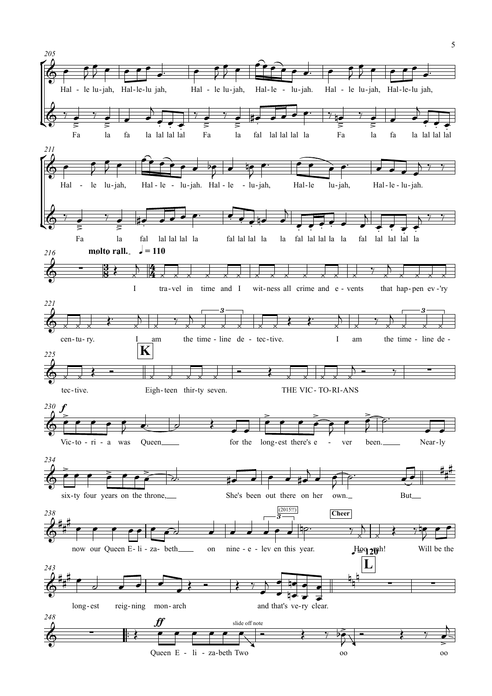